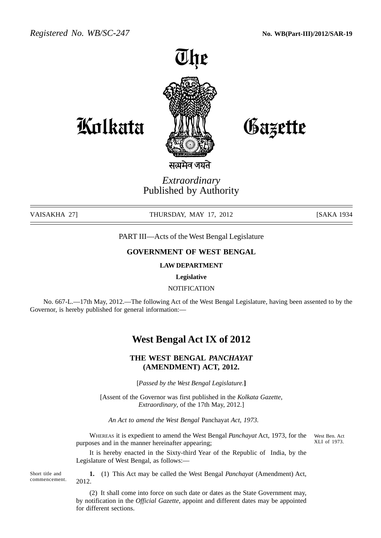*Registered No. WB/SC-247* **No. WB(Part-III)/2012/SAR-19**



Kolkata *M*WL Gazette

सत्यमेव

## *Extraordinary* Published by Authority

VAISAKHA 27] THURSDAY, MAY 17, 2012 [SAKA 1934

PART III—Acts of the West Bengal Legislature

### **GOVERNMENT OF WEST BENGAL**

#### **LAW DEPARTMENT**

**Legislative**

**NOTIFICATION** 

No. 667-L.—17th May, 2012.—The following Act of the West Bengal Legislature, having been assented to by the Governor, is hereby published for general information:—

# **West Bengal Act IX of 2012**

## **THE WEST BENGAL** *PANCHAYAT* **(AMENDMENT) ACT, 2012.**

[*Passed by the West Bengal Legislature.***]**

[Assent of the Governor was first published in the *Kolkata Gazette*, *Extraordinary*, of the 17th May, 2012.]

*An Act to amend the West Bengal* Panchayat *Act, 1973.*

WHEREAS it is expedient to amend the West Bengal *Panchayat* Act, 1973, for the purposes and in the manner hereinafter appearing;

West Ben. Act XLI of 1973.

It is hereby enacted in the Sixty-third Year of the Republic of India, by the Legislature of West Bengal, as follows:—

Short title and commencement.

**1.** (1) This Act may be called the West Bengal *Panchayat* (Amendment) Act, 2012.

(2) It shall come into force on such date or dates as the State Government may, by notification in the *Official Gazette*, appoint and different dates may be appointed for different sections.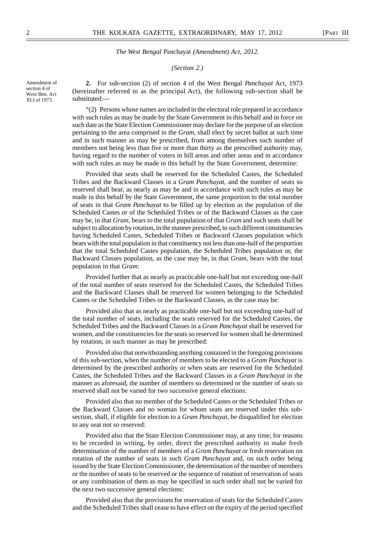#### *(Section 2.)*

Amendment of section 4 of West Ben. Act XLI of 1973.

**2.** For sub-section (2) of section 4 of the West Bengal *Panchayat* Act, 1973 (hereinafter referred to as the principal Act), the following sub-section shall be substituted:—

"(2) Persons whose names are included in the electoral role prepared in accordance with such rules as may be made by the State Government in this behalf and in force on such date as the State Election Commissioner may declare for the purpose of an election pertaining to the area comprised in the *Gram*, shall elect by secret ballot at such time and in such manner as may be prescribed, from among themselves such number of members not being less than five or more than thirty as the prescribed authority may, having regard to the number of voters in hill areas and other areas and in accordance with such rules as may be made in this behalf by the State Government, determine:

Provided that seats shall be reserved for the Scheduled Castes, the Scheduled Tribes and the Backward Classes in a *Gram Panchayat*, and the number of seats so reserved shall bear, as nearly as may be and in accordance with such rules as may be made in this behalf by the State Government, the same proportion to the total number of seats in that *Gram Panchayat* to be filled up by election as the population of the Scheduled Castes or of the Scheduled Tribes or of the Backward Classes as the case may be, in that *Gram*, bears to the total pupulation of that *Gram* and such seats shall be subject to allocation by rotation, in the manner prescribed, to such different constituencies having Scheduled Castes, Scheduled Tribes or Backward Classes population which bears with the total population in that constituency not less than one-half of the proportion that the total Scheduled Castes population, the Scheduled Tribes population or, the Backward Classes population, as the case may be, in that *Gram*, bears with the total population in that *Gram*:

Provided further that as nearly as practicable one-half but not exceeding one-half of the total number of seats reserved for the Scheduled Castes, the Scheduled Tribes and the Backward Classes shall be reserved for women belonging to the Scheduled Castes or the Scheduled Tribes or the Backward Classes, as the case may be:

Provided also that as nearly as practicable one-half but not exceeding one-half of the total number of seats, including the seats reserved for the Scheduled Castes, the Scheduled Tribes and the Backward Classes in a *Gram Panchayat* shall be reserved for women, and the constituencies for the seats so reserved for women shall be determined by rotation, in such manner as may be prescribed:

Provided also that notwithstanding anything contained in the foregoing provisions of this sub-section, when the number of members to be elected to a *Gram Panchayat* is determined by the prescribed authority or when seats are reserved for the Scheduled Castes, the Scheduled Tribes and the Backward Classes in a *Gram Panchayat* in the manner as aforesaid, the number of members so determined or the number of seats so reserved shall not be varied for two successive general elections:

Provided also that no member of the Scheduled Castes or the Scheduled Tribes or the Backward Classes and no woman for whom seats are reserved under this subsection, shall, if eligible for election to a *Gram Panchayat*, be disqualified for election to any seat not so reserved:

Provided also that the State Election Commissioner may, at any time, for reasons to be recorded in writing, by order, direct the prescribed authority to make fresh determination of the number of members of a *Gram Panchayat* or fresh reservation on rotation of the number of seats in such *Gram Panchayat* and, on such order being issued by the State Election Commissioner, the determination of the number of members or the number of seats to be reserved or the sequence of rotation of reservation of seats or any combination of them as may be specified in such order shall not be varied for the next two successive general elections:

Provided also that the provisions for reservation of seats for the Scheduled Castes and the Scheduled Tribes shall cease to have effect on the expiry of the period specified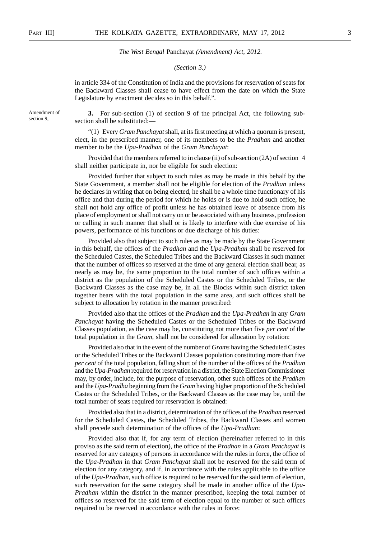#### *(Section 3.)*

in article 334 of the Constitution of India and the provisions for reservation of seats for the Backward Classes shall cease to have effect from the date on which the State Legislature by enactment decides so in this behalf.".

Amendment of section 9,

**3.** For sub-section (1) of section 9 of the principal Act, the following subsection shall be substituted:-

"(1) Every *Gram Panchayat* shall, at its first meeting at which a quorum is present, elect, in the prescribed manner, one of its members to be the *Pradhan* and another member to be the *Upa-Pradhan* of the *Gram Panchayat*:

Provided that the members referred to in clause (ii) of sub-section (2A) of section 4 shall neither participate in, nor be eligible for such election:

Provided further that subject to such rules as may be made in this behalf by the State Government, a member shall not be eligible for election of the *Pradhan* unless he declares in writing that on being elected, he shall be a whole time functionary of his office and that during the period for which he holds or is due to hold such office, he shall not hold any office of profit unless he has obtained leave of absence from his place of employment or shall not carry on or be associated with any business, profession or calling in such manner that shall or is likely to interfere with due exercise of his powers, performance of his functions or due discharge of his duties:

Provided also that subject to such rules as may be made by the State Government in this behalf, the offices of the *Pradhan* and the *Upa-Pradhan* shall be reserved for the Scheduled Castes, the Scheduled Tribes and the Backward Classes in such manner that the number of offices so reserved at the time of any general election shall bear, as nearly as may be, the same proportion to the total number of such offices within a district as the population of the Scheduled Castes or the Scheduled Tribes, or the Backward Classes as the case may be, in all the Blocks within such district taken together bears with the total population in the same area, and such offices shall be subject to allocation by rotation in the manner prescribed:

Provided also that the offices of the *Pradhan* and the *Upa-Pradhan* in any *Gram Panchayat* having the Scheduled Castes or the Scheduled Tribes or the Backward Classes population, as the case may be, constituting not more than five *per cent* of the total pupulation in the *Gram*, shall not be considered for allocation by rotation:

Provided also that in the event of the number of *Grams* having the Scheduled Castes or the Scheduled Tribes or the Backward Classes population constituting more than five *per cent* of the total population, falling short of the number of the offices of the *Pradhan* and the *Upa-Pradhan* required for reservation in a district, the State Election Commissioner may, by order, include, for the purpose of reservation, other such offices of the *Pradhan* and the *Upa-Pradha* beginning from the *Gram* having higher proportion of the Scheduled Castes or the Scheduled Tribes, or the Backward Classes as the case may be, until the total number of seats required for reservation is obtained:

Provided also that in a district, determination of the offices of the *Pradhan* reserved for the Scheduled Castes, the Scheduled Tribes, the Backward Classes and women shall precede such determination of the offices of the *Upa-Pradhan*:

Provided also that if, for any term of election (hereinafter referred to in this proviso as the said term of election), the office of the *Pradhan* in a *Gram Panchayat* is reserved for any category of persons in accordance with the rules in force, the office of the *Upa-Pradhan* in that *Gram Panchayat* shall not be reserved for the said term of election for any category, and if, in accordance with the rules applicable to the office of the *Upa-Pradhan*, such office is required to be reserved for the said term of election, such reservation for the same category shall be made in another office of the *Upa-Pradhan* within the district in the manner prescribed, keeping the total number of offices so reserved for the said term of election equal to the number of such offices required to be reserved in accordance with the rules in force: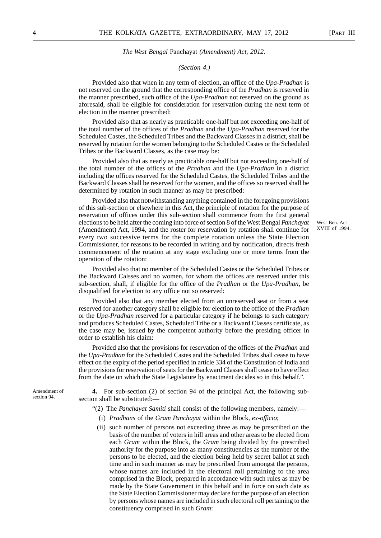#### *(Section 4.)*

Provided also that when in any term of election, an office of the *Upa-Pradhan* is not reserved on the ground that the corresponding office of the *Pradhan* is reserved in the manner prescribed, such office of the *Upa-Pradhan* not reserved on the ground as aforesaid, shall be eligible for consideration for reservation during the next term of election in the manner prescribed:

Provided also that as nearly as practicable one-half but not exceeding one-half of the total number of the offices of the *Pradhan* and the *Upa-Pradhan* reserved for the Scheduled Castes, the Scheduled Tribes and the Backward Classes in a district, shall be reserved by rotation for the women belonging to the Scheduled Castes or the Scheduled Tribes or the Backward Classes, as the case may be:

Provided also that as nearly as practicable one-half but not exceeding one-half of the total number of the offices of the *Pradhan* and the *Upa-Pradhan* in a district including the offices reserved for the Scheduled Castes, the Scheduled Tribes and the Backward Classes shall be reserved for the women, and the offices so reserved shall be determined by rotation in such manner as may be prescribed:

Provided also that notwithstanding anything contained in the foregoing provisions of this sub-section or elsewhere in this Act, the principle of rotation for the purpose of reservation of offices under this sub-section shall commence from the first general elections to be held after the coming into force of section 8 of the West Bengal *Panchayat* (Amendment) Act, 1994, and the roster for reservation by rotation shall continue for every two successive terms for the complete rotation unless the State Election Commissioner, for reasons to be recorded in writing and by notification, directs fresh commencement of the rotation at any stage excluding one or more terms from the operation of the rotation:

Provided also that no member of the Scheduled Castes or the Scheduled Tribes or the Backward Calsses and no women, for whom the offices are reserved under this sub-section, shall, if eligible for the office of the *Pradhan* or the *Upa-Pradhan*, be disqualified for election to any office not so reserved:

Provided also that any member elected from an unreserved seat or from a seat reserved for another category shall be eligible for election to the office of the *Pradhan* or the *Upa-Pradhan* reserved for a particular category if he belongs to such category and produces Scheduled Castes, Scheduled Tribe or a Backward Classes certificate, as the case may be, issued by the competent authority before the presiding officer in order to establish his claim:

Provided also that the provisions for reservation of the offices of the *Pradhan* and the *Upa-Pradhan* for the Scheduled Castes and the Scheduled Tribes shall cease to have effect on the expiry of the period specified in article 334 of the Constitution of India and the provisions for reservation of seats for the Backward Classes shall cease to have effect from the date on which the State Legislature by enactment decides so in this behalf.".

Amendment of section 94.

**4.** For sub-section (2) of section 94 of the principal Act, the following subsection shall be substituted:—

- "(2) The *Panchayat Samiti* shall consist of the following members, namely:—
	- (i) *Pradhans* of the *Gram Panchayat* within the Block, *ex-officio*;
	- (ii) such number of persons not exceeding three as may be prescribed on the basis of the number of voters in hill areas and other areas to be elected from each *Gram* within the Block, the *Gram* being divided by the prescribed authority for the purpose into as many constituencies as the number of the persons to be elected, and the election being held by secret ballot at such time and in such manner as may be prescribed from amongst the persons, whose names are included in the electoral roll pertaining to the area comprised in the Block, prepared in accordance with such rules as may be made by the State Government in this behalf and in force on such date as the State Election Commissioner may declare for the purpose of an election by persons whose names are included in such electoral roll pertaining to the constituency comprised in such *Gram*:

XVIII of 1994.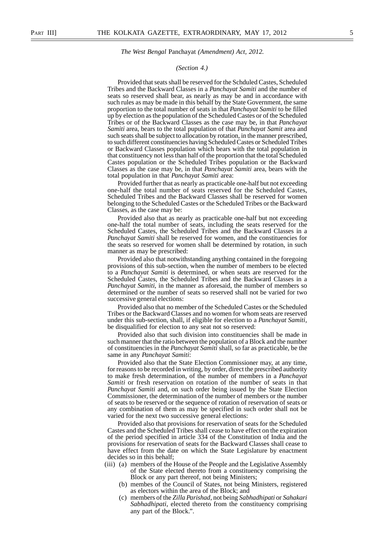#### *(Section 4.)*

Provided that seats shall be reserved for the Schduled Castes, Scheduled Tribes and the Backward Classes in a *Panchayat Samiti* and the number of seats so reserved shall bear, as nearly as may be and in accordance with such rules as may be made in this behalf by the State Government, the same proportion to the total number of seats in that *Panchayat Samiti* to be filled up by election as the population of the Scheduled Castes or of the Scheduled Tribes or of the Backward Classes as the case may be, in that *Panchayat Samiti* area, bears to the total pupulation of that *Panchayat Samit* area and such seats shall be subject to allocation by rotation, in the manner prescribed, to such different constituencies having Scheduled Castes or Scheduled Tribes or Backward Classes population which bears with the total population in that constituency not less than half of the proportion that the total Scheduled Castes population or the Scheduled Tribes population or the Backward Classes as the case may be, in that *Panchayat Samiti* area, bears with the total population in that *Panchayat Samiti* area:

Provided further that as nearly as practicable one-half but not exceeding one-half the total number of seats reserved for the Scheduled Castes, Scheduled Tribes and the Backward Classes shall be reserved for women belonging to the Scheduled Castes or the Scheduled Tribes or the Backward Classes, as the case may be:

Provided also that as nearly as practicable one-half but not exceeding one-half the total number of seats, including the seats reserved for the Scheduled Castes, the Scheduled Tribes and the Backward Classes in a *Panchayat Samiti* shall be reserved for women, and the constituencies for the seats so reserved for women shall be determined by rotation, in such manner as may be prescribed:

Provided also that notwithstanding anything contained in the foregoing provisions of this sub-section, when the number of members to be elected to a *Panchayat Samiti* is determined, or when seats are reserved for the Scheduled Castes, the Scheduled Tribes and the Backward Classes in a *Panchayat Samiti*, in the manner as aforesaid, the number of members so determined or the number of seats so reserved shall not be varied for two successive general elections:

Provided also that no member of the Scheduled Castes or the Scheduled Tribes or the Backward Classes and no women for whom seats are reserved under this sub-section, shall, if eligible for election to a *Panchayat Samiti* , be disqualified for election to any seat not so reserved:

Provided also that such division into constituencies shall be made in such manner that the ratio between the population of a Block and the number of constituencies in the *Panchayat Samiti* shall, so far as practicable, be the same in any *Panchayat Samiti* :

Provided also that the State Election Commissioner may, at any time, for reasons to be recorded in writing, by order, direct the prescribed authority to make fresh determination, of the number of members in a *Panchayat Samiti* or fresh reservation on rotation of the number of seats in that *Panchayat Samiti* and, on such order being issued by the State Election Commissioner, the determination of the number of members or the number of seats to be reserved or the sequence of rotation of reservation of seats or any combination of them as may be specified in such order shall not be varied for the next two successive general elections:

Provided also that provisions for reservation of seats for the Scheduled Castes and the Scheduled Tribes shall cease to have effect on the expiration of the period specified in article 334 of the Constitution of India and the provisions for reservation of seats for the Backward Classes shall cease to have effect from the date on which the State Legislature by enactment decides so in this behalf;

- (iii) (a) members of the House of the People and the Legislative Assembly of the State elected thereto from a constituency comprising the Block or any part thereof, not being Ministers;
	- (b) membes of the Council of States, not being Ministers, registered as electors within the area of the Block; and
	- (c) members of the *Zilla Parishad*, not being *Sabhadhipati* or *Sahakari Sabhadhipati*, elected thereto from the constituency comprising any part of the Block.".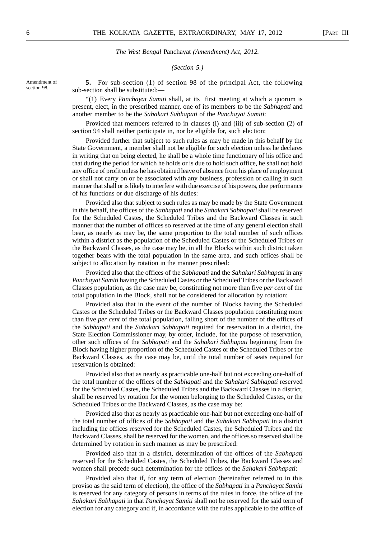#### *(Section 5.)*

Amendment of section 98.

**5.** For sub-section (1) of section 98 of the principal Act, the following sub-section shall be substituted:—

"(1) Every *Panchayat Samiti* shall, at its first meeting at which a quorum is present, elect, in the prescribed manner, one of its members to be the *Sabhapati* and another member to be the *Sahakari Sabhapati* of the *Panchayat Samiti*:

Provided that members referred to in clauses (i) and (iii) of sub-section (2) of section 94 shall neither participate in, nor be eligible for, such election:

Provided further that subject to such rules as may be made in this behalf by the State Government, a member shall not be eligible for such election unless he declares in writing that on being elected, he shall be a whole time functionary of his office and that during the period for which he holds or is due to hold such office, he shall not hold any office of profit unless he has obtained leave of absence from his place of employment or shall not carry on or be associated with any business, profession or calling in such manner that shall or is likely to interfere with due exercise of his powers, due performance of his functions or due discharge of his duties:

Provided also that subject to such rules as may be made by the State Government in this behalf, the offices of the *Sabhapati* and the *Sahakari Sabhapati* shall be reserved for the Scheduled Castes, the Scheduled Tribes and the Backward Classes in such manner that the number of offices so reserved at the time of any general election shall bear, as nearly as may be, the same proportion to the total number of such offices within a district as the population of the Scheduled Castes or the Scheduled Tribes or the Backward Classes, as the case may be, in all the Blocks within such district taken together bears with the total population in the same area, and such offices shall be subject to allocation by rotation in the manner prescribed:

Provided also that the offices of the *Sabhapati* and the *Sahakari Sabhapati* in any *Panchayat Samiti* having the Scheduled Castes or the Scheduled Tribes or the Backward Classes population, as the case may be, constituting not more than five *per cent* of the total population in the Block, shall not be considered for allocation by rotation:

Provided also that in the event of the number of Blocks having the Scheduled Castes or the Scheduled Tribes or the Backward Classes population constituting more than five *per cent* of the total population, falling short of the number of the offices of the *Sabhapati* and the *Sahakari Sabhapati* required for reservation in a district, the State Election Commissioner may, by order, include, for the purpose of reservation, other such offices of the *Sabhapati* and the *Sahakari Sabhapati* beginning from the Block having higher proportion of the Scheduled Castes or the Scheduled Tribes or the Backward Classes, as the case may be, until the total number of seats required for reservation is obtained:

Provided also that as nearly as practicable one-half but not exceeding one-half of the total number of the offices of the *Sabhapati* and the *Sahakari Sabhapati* reserved for the Scheduled Castes, the Scheduled Tribes and the Backward Classes in a district, shall be reserved by rotation for the women belonging to the Scheduled Castes, or the Scheduled Tribes or the Backward Classes, as the case may be:

Provided also that as nearly as practicable one-half but not exceeding one-half of the total number of offices of the *Sabhapati* and the *Sahakari Sabhapati* in a district including the offices reserved for the Scheduled Castes, the Scheduled Tribes and the Backward Classes, shall be reserved for the women, and the offices so reserved shall be determined by rotation in such manner as may be prescribed:

Provided also that in a district, determination of the offices of the *Sabhapati* reserved for the Scheduled Castes, the Scheduled Tribes, the Backward Classes and women shall precede such determination for the offices of the *Sahakari Sabhapati*:

Provided also that if, for any term of election (hereinafter referred to in this proviso as the said term of election), the office of the *Sabhapati* in a *Panchayat Samiti* is reserved for any category of persons in terms of the rules in force, the office of the *Sahakari Sabhapati* in that *Panchayat Samiti* shall not be reserved for the said term of election for any category and if, in accordance with the rules applicable to the office of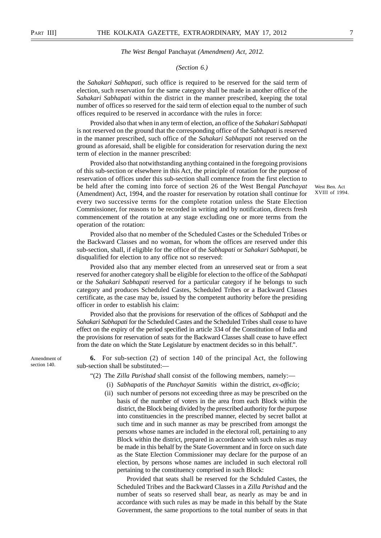#### *(Section 6.)*

the *Sahakari Sabhapati,* such office is required to be reserved for the said term of election, such reservation for the same category shall be made in another office of the *Sahakari Sabhapati* within the district in the manner prescribed, keeping the total number of offices so reserved for the said term of election equal to the number of such offices required to be reserved in accordance with the rules in force:

Provided also that when in any term of election, an office of the *Sahakari Sabhapati* is not reserved on the ground that the corresponding office of the *Sabhapati* is reserved in the manner prescribed, such office of the *Sahakari Sabhapati* not reserved on the ground as aforesaid, shall be eligible for consideration for reservation during the next term of election in the manner prescribed:

Provided also that notwithstanding anything contained in the foregoing provisions of this sub-section or elsewhere in this Act, the principle of rotation for the purpose of reservation of offices under this sub-section shall commence from the first election to be held after the coming into force of section 26 of the West Bengal *Panchayat* (Amendment) Act, 1994, and the roaster for reservation by rotation shall continue for every two successive terms for the complete rotation unless the State Election Commissioner, for reasons to be recorded in writing and by notification, directs fresh commencement of the rotation at any stage excluding one or more terms from the operation of the rotation:

West Ben. Act XVIII of 1994.

Provided also that no member of the Scheduled Castes or the Scheduled Tribes or the Backward Classes and no woman, for whom the offices are reserved under this sub-section, shall, if eligible for the office of the *Sabhapati* or *Sahakari Sabhapati,* be disqualified for election to any office not so reserved:

Provided also that any member elected from an unreserved seat or from a seat reserved for another category shall be eligible for election to the office of the *Sabhapati* or the *Sahakari Sabhapati* reserved for a particular category if he belongs to such category and produces Scheduled Castes, Scheduled Tribes or a Backward Classes certificate, as the case may be, issued by the competent authority before the presiding officer in order to establish his claim:

Provided also that the provisions for reservation of the offices of *Sabhapati* and the *Sahakari Sabhapati* for the Scheduled Castes and the Scheduled Tribes shall cease to have effect on the expiry of the period specified in article 334 of the Constitution of India and the provisions for reservation of seats for the Backward Classes shall cease to have effect from the date on which the State Legislature by enactment decides so in this behalf.".

Amendment of section 140.

**6.** For sub-section (2) of section 140 of the principal Act, the following sub-section shall be substituted:—

- "(2) The *Zilla Parishad* shall consist of the following members, namely:—
	- (i) *Sabhapatis* of the *Panchayat Samitis* within the district, *ex-officio*;
	- (ii) such number of persons not exceeding three as may be prescribed on the basis of the number of voters in the area from each Block within the district, the Block being divided by the prescribed authority for the purpose into constituencies in the prescribed manner, elected by secret ballot at such time and in such manner as may be prescribed from amongst the persons whose names are included in the electoral roll, pertaining to any Block within the district, prepared in accordance with such rules as may be made in this behalf by the State Government and in force on such date as the State Election Commissioner may declare for the purpose of an election, by persons whose names are included in such electoral roll pertaining to the constituency comprised in such Block:

Provided that seats shall be reserved for the Schduled Castes, the Scheduled Tribes and the Backward Classes in a *Zilla Parishad* and the number of seats so reserved shall bear, as nearly as may be and in accordance with such rules as may be made in this behalf by the State Government, the same proportions to the total number of seats in that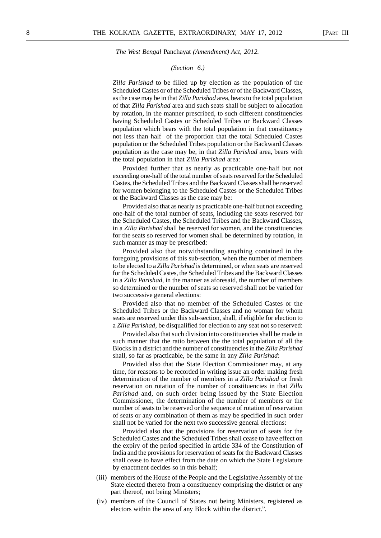#### *(Section 6.)*

*Zilla Parishad* to be filled up by election as the population of the Scheduled Castes or of the Scheduled Tribes or of the Backward Classes, as the case may be in that *Zilla Parishad* area, bears to the total pupulation of that *Zilla Parishad* area and such seats shall be subject to allocation by rotation, in the manner prescribed, to such different constituencies having Scheduled Castes or Scheduled Tribes or Backward Classes population which bears with the total population in that constituency not less than half of the proportion that the total Scheduled Castes population or the Scheduled Tribes population or the Backward Classes population as the case may be, in that *Zilla Parishad* area, bears with the total population in that *Zilla Parishad* area:

Provided further that as nearly as practicable one-half but not exceeding one-half of the total number of seats reserved for the Scheduled Castes, the Scheduled Tribes and the Backward Classes shall be reserved for women belonging to the Scheduled Castes or the Scheduled Tribes or the Backward Classes as the case may be:

Provided also that as nearly as practicable one-half but not exceeding one-half of the total number of seats, including the seats reserved for the Scheduled Castes, the Scheduled Tribes and the Backward Classes, in a *Zilla Parishad* shall be reserved for women, and the constituencies for the seats so reserved for women shall be determined by rotation, in such manner as may be prescribed:

Provided also that notwithstanding anything contained in the foregoing provisions of this sub-section, when the number of members to be elected to a *Zilla Parishad* is determined, or when seats are reserved for the Scheduled Castes, the Scheduled Tribes and the Backward Classes in a *Zilla Parishad*, in the manner as aforesaid, the number of members so determined or the number of seats so reserved shall not be varied for two successive general elections:

Provided also that no member of the Scheduled Castes or the Scheduled Tribes or the Backward Classes and no woman for whom seats are reserved under this sub-section, shall, if eligible for election to a *Zilla Parishad,* be disqualified for election to any seat not so reserved:

Provided also that such division into constituencies shall be made in such manner that the ratio between the the total population of all the Blocks in a district and the number of constituencies in the *Zilla Parishad* shall, so far as practicable, be the same in any *Zilla Parishad* :

Provided also that the State Election Commissioner may, at any time, for reasons to be recorded in writing issue an order making fresh determination of the number of members in a *Zilla Parishad* or fresh reservation on rotation of the number of constituencies in that *Zilla Parishad* and, on such order being issued by the State Election Commissioner, the determination of the number of members or the number of seats to be reserved or the sequence of rotation of reservation of seats or any combination of them as may be specified in such order shall not be varied for the next two successive general elections:

Provided also that the provisions for reservation of seats for the Scheduled Castes and the Scheduled Tribes shall cease to have effect on the expiry of the period specified in article 334 of the Constitution of India and the provisions for reservation of seats for the Backward Classes shall cease to have effect from the date on which the State Legislature by enactment decides so in this behalf;

- (iii) members of the House of the People and the Legislative Assembly of the State elected thereto from a constituency comprising the district or any part thereof, not being Ministers;
- (iv) members of the Council of States not being Ministers, registered as electors within the area of any Block within the district.".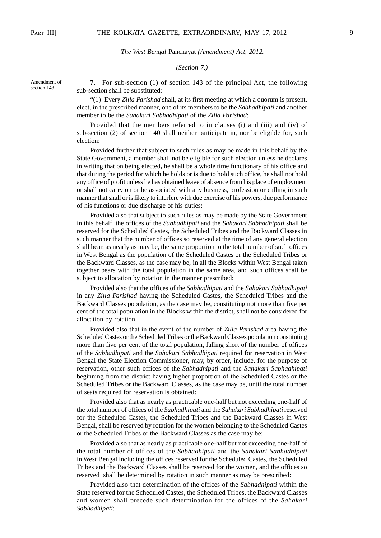#### *(Section 7.)*

Amendment of section 143.

**7.** For sub-section (1) of section 143 of the principal Act, the following sub-section shall be substituted:—

"(1) Every *Zilla Parishad* shall, at its first meeting at which a quorum is present, elect, in the prescribed manner, one of its members to be the *Sabhadhipati* and another member to be the *Sahakari Sabhadhipati* of the *Zilla Parishad*:

Provided that the members referred to in clauses (i) and (iii) and (iv) of sub-section (2) of section 140 shall neither participate in, nor be eligible for, such election:

Provided further that subject to such rules as may be made in this behalf by the State Government, a member shall not be eligible for such election unless he declares in writing that on being elected, he shall be a whole time functionary of his office and that during the period for which he holds or is due to hold such office, he shall not hold any office of profit unless he has obtained leave of absence from his place of employment or shall not carry on or be associated with any business, profession or calling in such manner that shall or is likely to interfere with due exercise of his powers, due performance of his functions or due discharge of his duties:

Provided also that subject to such rules as may be made by the State Government in this behalf, the offices of the *Sabhadhipati* and the *Sahakari Sabhadhipati* shall be reserved for the Scheduled Castes, the Scheduled Tribes and the Backward Classes in such manner that the number of offices so reserved at the time of any general election shall bear, as nearly as may be, the same proportion to the total number of such offices in West Bengal as the population of the Scheduled Castes or the Scheduled Tribes or the Backward Classes, as the case may be, in all the Blocks within West Bengal taken together bears with the total population in the same area, and such offices shall be subject to allocation by rotation in the manner prescribed:

Provided also that the offices of the *Sabhadhipati* and the *Sahakari Sabhadhipati* in any *Zilla Parishad* having the Scheduled Castes, the Scheduled Tribes and the Backward Classes population, as the case may be, constituting not more than five per cent of the total population in the Blocks within the district, shall not be considered for allocation by rotation.

Provided also that in the event of the number of *Zilla Parishad* area having the Scheduled Castes or the Scheduled Tribes or the Backward Classes population constituting more than five per cent of the total population, falling short of the number of offices of the *Sabhadhipati* and the *Sahakari Sabhadhipati* required for reservation in West Bengal the State Election Commissioner, may, by order, include, for the purpose of reservation, other such offices of the *Sabhadhipati* and the *Sahakari Sabhadhipati* beginning from the district having higher proportion of the Scheduled Castes or the Scheduled Tribes or the Backward Classes, as the case may be, until the total number of seats required for reservation is obtained:

Provided also that as nearly as practicable one-half but not exceeding one-half of the total number of offices of the *Sabhadhipati* and the *Sahakari Sabhadhipati* reserved for the Scheduled Castes, the Scheduled Tribes and the Backward Classes in West Bengal, shall be reserved by rotation for the women belonging to the Scheduled Castes or the Scheduled Tribes or the Backward Classes as the case may be:

Provided also that as nearly as practicable one-half but not exceeding one-half of the total number of offices of the *Sabhadhipati* and the *Sahakari Sabhadhipati* in West Bengal including the offices reserved for the Scheduled Castes, the Scheduled Tribes and the Backward Classes shall be reserved for the women, and the offices so reserved shall be determined by rotation in such manner as may be prescribed:

Provided also that determination of the offices of the *Sabhadhipati* within the State reserved for the Scheduled Castes, the Scheduled Tribes, the Backward Classes and women shall precede such determination for the offices of the *Sahakari Sabhadhipati*: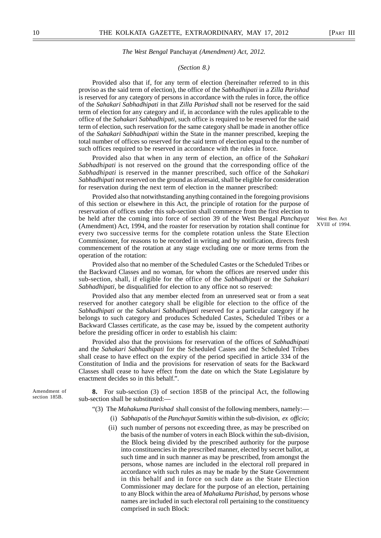#### *(Section 8.)*

Provided also that if, for any term of election (hereinafter referred to in this proviso as the said term of election), the office of the *Sabhadhipati* in a *Zilla Parishad* is reserved for any category of persons in accordance with the rules in force, the office of the *Sahakari Sabhadhipati* in that *Zilla Parishad* shall not be reserved for the said term of election for any category and if, in accordance with the rules applicable to the office of the *Sahakari Sabhadhipati,* such office is required to be reserved for the said term of election, such reservation for the same category shall be made in another office of the *Sahakari Sabhadhipati* within the State in the manner prescribed, keeping the total number of offices so reserved for the said term of election equal to the number of such offices required to be reserved in accordance with the rules in force.

Provided also that when in any term of election, an office of the *Sahakari Sabhadhipati* is not reserved on the ground that the corresponding office of the *Sabhadhipati* is reserved in the manner prescribed, such office of the *Sahakari Sabhadhipati* not reserved on the ground as aforesaid, shall be eligible for consideration for reservation during the next term of election in the manner prescribed:

Provided also that notwithstanding anything contained in the foregoing provisions of this section or elsewhere in this Act, the principle of rotation for the purpose of reservation of offices under this sub-section shall commence from the first election to be held after the coming into force of section 39 of the West Bengal *Panchayat* (Amendment) Act, 1994, and the roaster for reservation by rotation shall continue for every two successive terms for the complete rotation unless the State Election Commissioner, for reasons to be recorded in writing and by notification, directs fresh commencement of the rotation at any stage excluding one or more terms from the operation of the rotation:

Provided also that no member of the Scheduled Castes or the Scheduled Tribes or the Backward Classes and no woman, for whom the offices are reserved under this sub-section, shall, if eligible for the office of the *Sabhadhipati* or the *Sahakari Sabhadhipati,* be disqualified for election to any office not so reserved:

Provided also that any member elected from an unreserved seat or from a seat reserved for another category shall be eligible for election to the office of the *Sabhadhipati* or the *Sahakari Sabhadhipati* reserved for a particular category if he belongs to such category and produces Scheduled Castes, Scheduled Tribes or a Backward Classes certificate, as the case may be, issued by the competent authority before the presiding officer in order to establish his claim:

Provided also that the provisions for reservation of the offices of *Sabhadhipati* and the *Sahakari Sabhadhipati* for the Scheduled Castes and the Scheduled Tribes shall cease to have effect on the expiry of the period specified in article 334 of the Constitution of India and the provisions for reservation of seats for the Backward Classes shall cease to have effect from the date on which the State Legislature by enactment decides so in this behalf.".

Amendment of section 185B.

**8.** For sub-section (3) of section 185B of the principal Act, the following sub-section shall be substituted:—

- "(3) The *Mahakuma Parishad* shall consist of the following members, namely:—
	- (i) *Sabhapatis* of the *Panchayat Samitis* within the sub-division, *ex officio*;
	- (ii) such number of persons not exceeding three, as may be prescribed on the basis of the number of voters in each Block within the sub-division, the Block being divided by the prescribed authority for the purpose into constituencies in the prescribed manner, elected by secret ballot, at such time and in such manner as may be prescribed, from amongst the persons, whose names are included in the electoral roll prepared in accordance with such rules as may be made by the State Government in this behalf and in force on such date as the State Election Commissioner may declare for the purpose of an election, pertaining to any Block within the area of *Mahakuma Parishad,* by persons whose names are included in such electoral roll pertaining to the constituency comprised in such Block: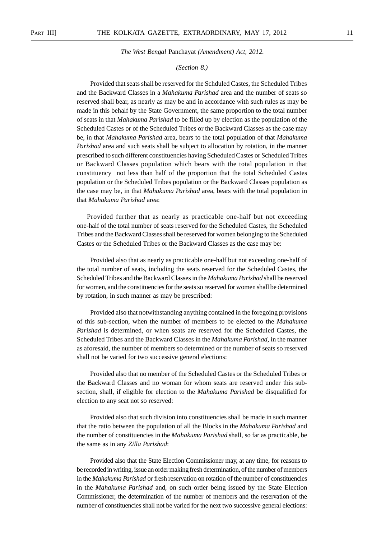#### *(Section 8.)*

Provided that seats shall be reserved for the Schduled Castes, the Scheduled Tribes and the Backward Classes in a *Mahakuma Parishad* area and the number of seats so reserved shall bear, as nearly as may be and in accordance with such rules as may be made in this behalf by the State Government, the same proportion to the total number of seats in that *Mahakuma Parishad* to be filled up by election as the population of the Scheduled Castes or of the Scheduled Tribes or the Backward Classes as the case may be, in that *Mahakuma Parishad* area, bears to the total population of that *Mahakuma Parishad* area and such seats shall be subject to allocation by rotation, in the manner prescribed to such different constituencies having Scheduled Castes or Scheduled Tribes or Backward Classes population which bears with the total population in that constituency not less than half of the proportion that the total Scheduled Castes population or the Scheduled Tribes population or the Backward Classes population as the case may be, in that *Mahakuma Parishad* area, bears with the total population in that *Mahakuma Parishad* area:

Provided further that as nearly as practicable one-half but not exceeding one-half of the total number of seats reserved for the Scheduled Castes, the Scheduled Tribes and the Backward Classes shall be reserved for women belonging to the Scheduled Castes or the Scheduled Tribes or the Backward Classes as the case may be:

Provided also that as nearly as practicable one-half but not exceeding one-half of the total number of seats, including the seats reserved for the Scheduled Castes, the Scheduled Tribes and the Backward Classes in the *Mahakuma Parishad* shall be reserved for women, and the constituencies for the seats so reserved for women shall be determined by rotation, in such manner as may be prescribed:

Provided also that notwithstanding anything contained in the foregoing provisions of this sub-section, when the number of members to be elected to the *Mahakuma Parishad* is determined, or when seats are reserved for the Scheduled Castes, the Scheduled Tribes and the Backward Classes in the *Mahakuma Parishad,* in the manner as aforesaid, the number of members so determined or the number of seats so reserved shall not be varied for two successive general elections:

Provided also that no member of the Scheduled Castes or the Scheduled Tribes or the Backward Classes and no woman for whom seats are reserved under this subsection, shall, if eligible for election to the *Mahakuma Parishad* be disqualified for election to any seat not so reserved:

Provided also that such division into constituencies shall be made in such manner that the ratio between the population of all the Blocks in the *Mahakuma Parishad* and the number of constituencies in the *Mahakuma Parishad* shall, so far as practicable, be the same as in any *Zilla Parishad*:

Provided also that the State Election Commissioner may, at any time, for reasons to be recorded in writing, issue an order making fresh determination, of the number of members in the *Mahakuma Parishad* or fresh reservation on rotation of the number of constituencies in the *Mahakuma Parishad* and, on such order being issued by the State Election Commissioner, the determination of the number of members and the reservation of the number of constituencies shall not be varied for the next two successive general elections: